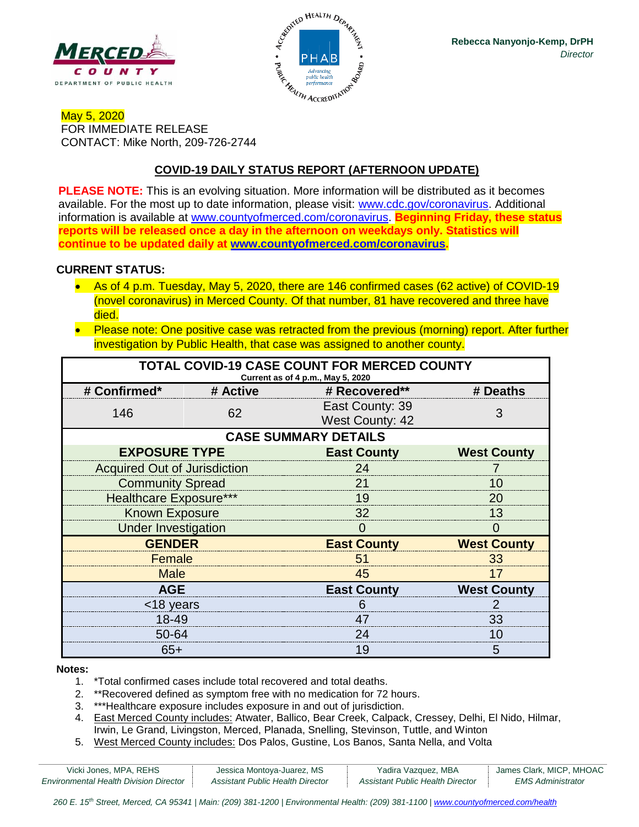



### May 5, 2020 FOR IMMEDIATE RELEASE CONTACT: Mike North, 209-726-2744

## **COVID-19 DAILY STATUS REPORT (AFTERNOON UPDATE)**

**PLEASE NOTE:** This is an evolving situation. More information will be distributed as it becomes available. For the most up to date information, please visit: [www.cdc.gov/coronavirus.](http://www.cdc.gov/coronavirus) Additional information is available at [www.countyofmerced.com/coronavirus.](http://www.countyofmerced.com/coronavirus) **Beginning Friday, these status reports will be released once a day in the afternoon on weekdays only. Statistics will continue to be updated daily at [www.countyofmerced.com/coronavirus.](http://www.countyofmerced.com/coronavirus)**

#### **CURRENT STATUS:**

- As of 4 p.m. Tuesday, May 5, 2020, there are 146 confirmed cases (62 active) of COVID-19 (novel coronavirus) in Merced County. Of that number, 81 have recovered and three have died.
- Please note: One positive case was retracted from the previous (morning) report. After further investigation by Public Health, that case was assigned to another county.

| TOTAL COVID-19 CASE COUNT FOR MERCED COUNTY<br>Current as of 4 p.m., May 5, 2020 |          |                                           |                    |  |  |
|----------------------------------------------------------------------------------|----------|-------------------------------------------|--------------------|--|--|
| # Confirmed*                                                                     | # Active | # Recovered**                             | # Deaths           |  |  |
| 146                                                                              | 62       | East County: 39<br><b>West County: 42</b> | 3                  |  |  |
| <b>CASE SUMMARY DETAILS</b>                                                      |          |                                           |                    |  |  |
| <b>EXPOSURE TYPE</b>                                                             |          | <b>East County</b>                        | <b>West County</b> |  |  |
| <b>Acquired Out of Jurisdiction</b>                                              |          | 24                                        |                    |  |  |
| <b>Community Spread</b>                                                          |          | 21                                        | 10                 |  |  |
| <b>Healthcare Exposure***</b>                                                    |          | 19                                        | 20                 |  |  |
| <b>Known Exposure</b>                                                            |          | 32                                        | 13                 |  |  |
| <b>Under Investigation</b>                                                       |          | O                                         | O                  |  |  |
| <b>GENDER</b>                                                                    |          | <b>East County</b>                        | <b>West County</b> |  |  |
| Female                                                                           |          | 51                                        | 33                 |  |  |
| <b>Male</b>                                                                      |          | 45                                        | 17                 |  |  |
| <b>AGE</b>                                                                       |          | <b>East County</b>                        | <b>West County</b> |  |  |
| <18 years                                                                        |          | 6                                         |                    |  |  |
| 18-49                                                                            |          | 47                                        | 33                 |  |  |
| 50-64                                                                            |          | 24                                        | 10                 |  |  |
| $65+$                                                                            |          | 19                                        | 5                  |  |  |

#### **Notes:**

- 1. \*Total confirmed cases include total recovered and total deaths.
- 2. \*\*Recovered defined as symptom free with no medication for 72 hours.
- 3. \*\*\*Healthcare exposure includes exposure in and out of jurisdiction.
- 4. East Merced County includes: Atwater, Ballico, Bear Creek, Calpack, Cressey, Delhi, El Nido, Hilmar, Irwin, Le Grand, Livingston, Merced, Planada, Snelling, Stevinson, Tuttle, and Winton
- 5. West Merced County includes: Dos Palos, Gustine, Los Banos, Santa Nella, and Volta

| Vicki Jones, MPA, REHS                        | Jessica Montoya-Juarez, MS       | Yadira Vazquez, MBA              | James Clark, MICP, MHOAC |
|-----------------------------------------------|----------------------------------|----------------------------------|--------------------------|
| <b>Environmental Health Division Director</b> | Assistant Public Health Director | Assistant Public Health Director | <b>EMS Administrator</b> |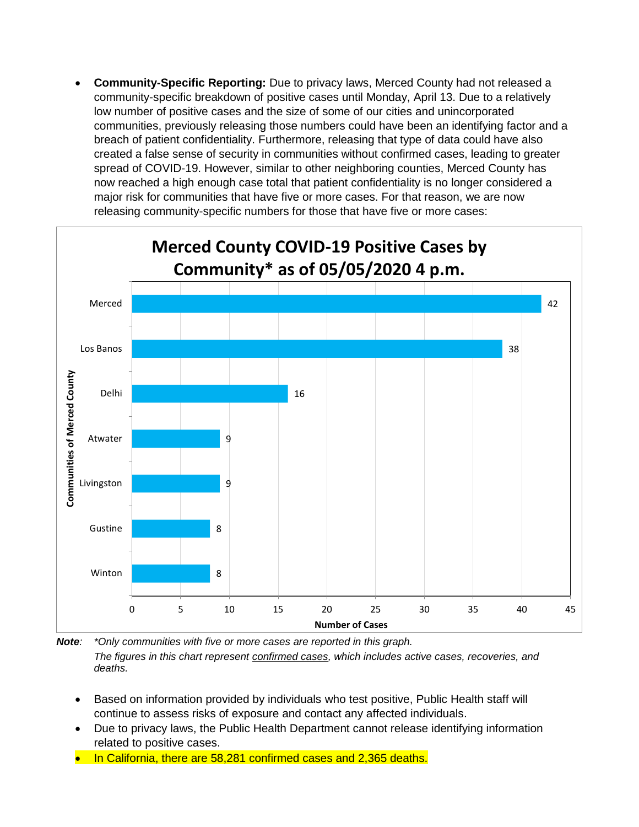• **Community-Specific Reporting:** Due to privacy laws, Merced County had not released a community-specific breakdown of positive cases until Monday, April 13. Due to a relatively low number of positive cases and the size of some of our cities and unincorporated communities, previously releasing those numbers could have been an identifying factor and a breach of patient confidentiality. Furthermore, releasing that type of data could have also created a false sense of security in communities without confirmed cases, leading to greater spread of COVID-19. However, similar to other neighboring counties, Merced County has now reached a high enough case total that patient confidentiality is no longer considered a major risk for communities that have five or more cases. For that reason, we are now releasing community-specific numbers for those that have five or more cases:



*Note: \*Only communities with five or more cases are reported in this graph. The figures in this chart represent confirmed cases, which includes active cases, recoveries, and deaths.*

- Based on information provided by individuals who test positive, Public Health staff will continue to assess risks of exposure and contact any affected individuals.
- Due to privacy laws, the Public Health Department cannot release identifying information related to positive cases.
- In California, there are 58,281 confirmed cases and 2,365 deaths.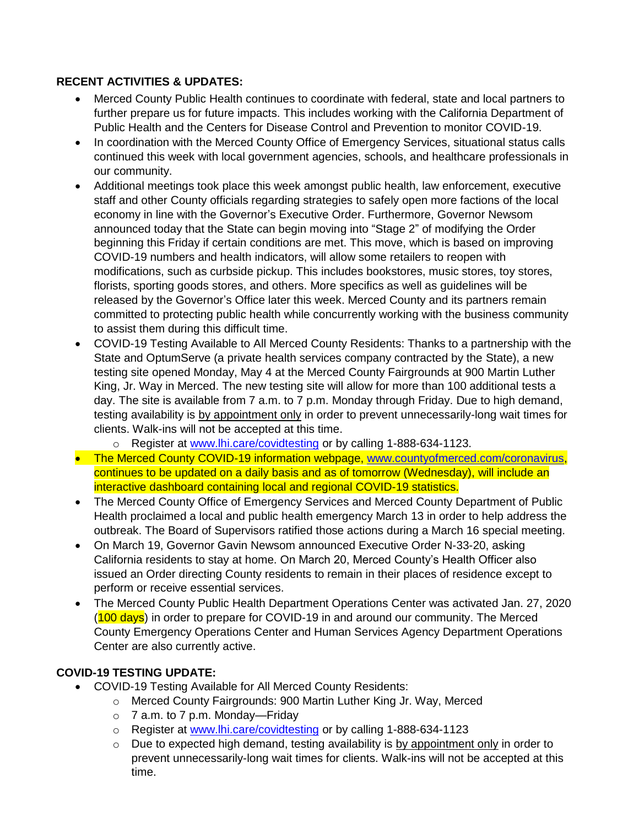## **RECENT ACTIVITIES & UPDATES:**

- Merced County Public Health continues to coordinate with federal, state and local partners to further prepare us for future impacts. This includes working with the California Department of Public Health and the Centers for Disease Control and Prevention to monitor COVID-19.
- In coordination with the Merced County Office of Emergency Services, situational status calls continued this week with local government agencies, schools, and healthcare professionals in our community.
- Additional meetings took place this week amongst public health, law enforcement, executive staff and other County officials regarding strategies to safely open more factions of the local economy in line with the Governor's Executive Order. Furthermore, Governor Newsom announced today that the State can begin moving into "Stage 2" of modifying the Order beginning this Friday if certain conditions are met. This move, which is based on improving COVID-19 numbers and health indicators, will allow some retailers to reopen with modifications, such as curbside pickup. This includes bookstores, music stores, toy stores, florists, sporting goods stores, and others. More specifics as well as guidelines will be released by the Governor's Office later this week. Merced County and its partners remain committed to protecting public health while concurrently working with the business community to assist them during this difficult time.
- COVID-19 Testing Available to All Merced County Residents: Thanks to a partnership with the State and OptumServe (a private health services company contracted by the State), a new testing site opened Monday, May 4 at the Merced County Fairgrounds at 900 Martin Luther King, Jr. Way in Merced. The new testing site will allow for more than 100 additional tests a day. The site is available from 7 a.m. to 7 p.m. Monday through Friday. Due to high demand, testing availability is by appointment only in order to prevent unnecessarily-long wait times for clients. Walk-ins will not be accepted at this time.
	- o Register at [www.lhi.care/covidtesting](http://www.lhi.care/covidtesting) or by calling 1-888-634-1123.
- The Merced County COVID-19 information webpage, [www.countyofmerced.com/coronavirus,](http://www.countyofmerced.com/coronavirus) continues to be updated on a daily basis and as of tomorrow (Wednesday), will include an interactive dashboard containing local and regional COVID-19 statistics.
- The Merced County Office of Emergency Services and Merced County Department of Public Health proclaimed a local and public health emergency March 13 in order to help address the outbreak. The Board of Supervisors ratified those actions during a March 16 special meeting.
- On March 19, Governor Gavin Newsom announced Executive Order N-33-20, asking California residents to stay at home. On March 20, Merced County's Health Officer also issued an Order directing County residents to remain in their places of residence except to perform or receive essential services.
- The Merced County Public Health Department Operations Center was activated Jan. 27, 2020 (100 days) in order to prepare for COVID-19 in and around our community. The Merced County Emergency Operations Center and Human Services Agency Department Operations Center are also currently active.

# **COVID-19 TESTING UPDATE:**

- COVID-19 Testing Available for All Merced County Residents:
	- o Merced County Fairgrounds: 900 Martin Luther King Jr. Way, Merced
	- o 7 a.m. to 7 p.m. Monday—Friday
	- o Register at [www.lhi.care/covidtesting](http://www.lhi.care/covidtesting) or by calling 1-888-634-1123
	- o Due to expected high demand, testing availability is by appointment only in order to prevent unnecessarily-long wait times for clients. Walk-ins will not be accepted at this time.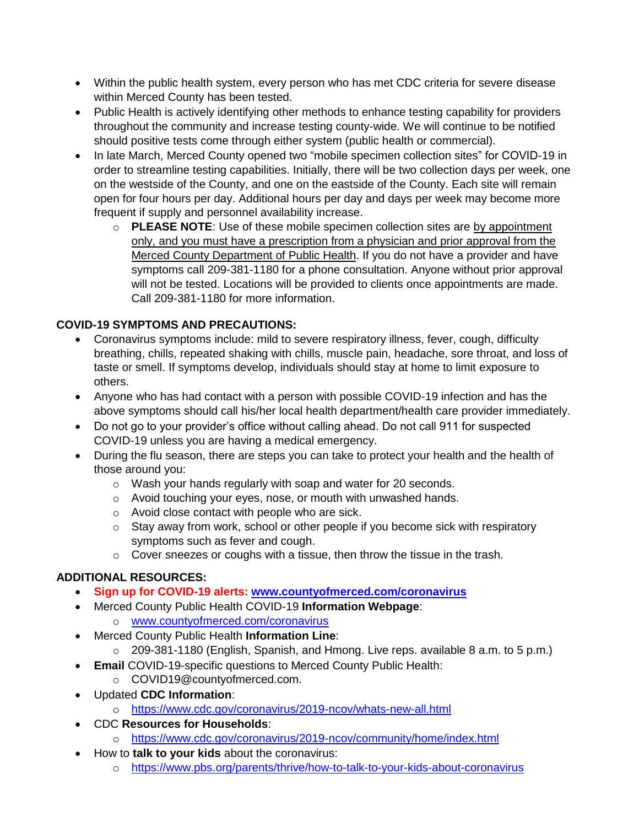- Within the public health system, every person who has met CDC criteria for severe disease within Merced County has been tested.
- Public Health is actively identifying other methods to enhance testing capability for providers throughout the community and increase testing county-wide. We will continue to be notified should positive tests come through either system (public health or commercial).
- In late March, Merced County opened two "mobile specimen collection sites" for COVID-19 in order to streamline testing capabilities. Initially, there will be two collection days per week, one on the westside of the County, and one on the eastside of the County. Each site will remain open for four hours per day. Additional hours per day and days per week may become more frequent if supply and personnel availability increase.
	- o **PLEASE NOTE**: Use of these mobile specimen collection sites are by appointment only, and you must have a prescription from a physician and prior approval from the Merced County Department of Public Health. If you do not have a provider and have symptoms call 209-381-1180 for a phone consultation. Anyone without prior approval will not be tested. Locations will be provided to clients once appointments are made. Call 209-381-1180 for more information.

# **COVID-19 SYMPTOMS AND PRECAUTIONS:**

- Coronavirus symptoms include: mild to severe respiratory illness, fever, cough, difficulty breathing, chills, repeated shaking with chills, muscle pain, headache, sore throat, and loss of taste or smell. If symptoms develop, individuals should stay at home to limit exposure to others.
- Anyone who has had contact with a person with possible COVID-19 infection and has the above symptoms should call his/her local health department/health care provider immediately.
- Do not go to your provider's office without calling ahead. Do not call 911 for suspected COVID-19 unless you are having a medical emergency.
- During the flu season, there are steps you can take to protect your health and the health of those around you:
	- o Wash your hands regularly with soap and water for 20 seconds.
	- o Avoid touching your eyes, nose, or mouth with unwashed hands.
	- o Avoid close contact with people who are sick.
	- $\circ$  Stay away from work, school or other people if you become sick with respiratory symptoms such as fever and cough.
	- $\circ$  Cover sneezes or coughs with a tissue, then throw the tissue in the trash.

# **ADDITIONAL RESOURCES:**

- **Sign up for COVID-19 alerts: [www.countyofmerced.com/coronavirus](http://www.countyofmerced.com/coronavirus)**
- Merced County Public Health COVID-19 **Information Webpage**:
	- o [www.countyofmerced.com/coronavirus](http://www.countyofmerced.com/coronavirus)
- Merced County Public Health **Information Line**:
	- o 209-381-1180 (English, Spanish, and Hmong. Live reps. available 8 a.m. to 5 p.m.)
- **Email** COVID-19-specific questions to Merced County Public Health:
	- o COVID19@countyofmerced.com.
- Updated **CDC Information**:
	- o <https://www.cdc.gov/coronavirus/2019-ncov/whats-new-all.html>
- CDC **Resources for Households**:
	- o <https://www.cdc.gov/coronavirus/2019-ncov/community/home/index.html>
- How to **talk to your kids** about the coronavirus:
	- o <https://www.pbs.org/parents/thrive/how-to-talk-to-your-kids-about-coronavirus>